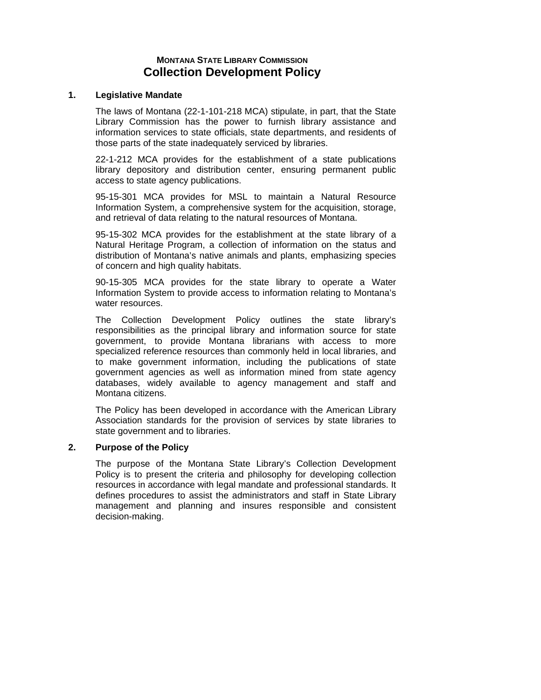# **MONTANA STATE LIBRARY COMMISSION Collection Development Policy**

## **1. Legislative Mandate**

The laws of Montana (22-1-101-218 MCA) stipulate, in part, that the State Library Commission has the power to furnish library assistance and information services to state officials, state departments, and residents of those parts of the state inadequately serviced by libraries.

22-1-212 MCA provides for the establishment of a state publications library depository and distribution center, ensuring permanent public access to state agency publications.

95-15-301 MCA provides for MSL to maintain a Natural Resource Information System, a comprehensive system for the acquisition, storage, and retrieval of data relating to the natural resources of Montana.

95-15-302 MCA provides for the establishment at the state library of a Natural Heritage Program, a collection of information on the status and distribution of Montana's native animals and plants, emphasizing species of concern and high quality habitats.

90-15-305 MCA provides for the state library to operate a Water Information System to provide access to information relating to Montana's water resources.

The Collection Development Policy outlines the state library's responsibilities as the principal library and information source for state government, to provide Montana librarians with access to more specialized reference resources than commonly held in local libraries, and to make government information, including the publications of state government agencies as well as information mined from state agency databases, widely available to agency management and staff and Montana citizens.

The Policy has been developed in accordance with the American Library Association standards for the provision of services by state libraries to state government and to libraries.

# **2. Purpose of the Policy**

The purpose of the Montana State Library's Collection Development Policy is to present the criteria and philosophy for developing collection resources in accordance with legal mandate and professional standards. It defines procedures to assist the administrators and staff in State Library management and planning and insures responsible and consistent decision-making.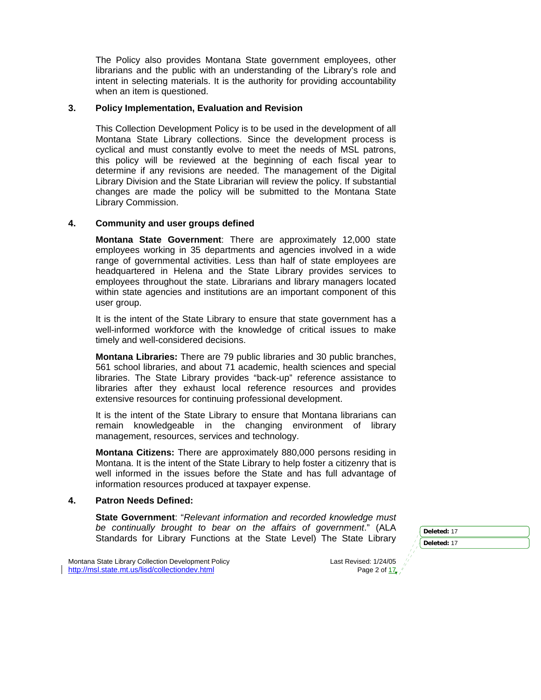The Policy also provides Montana State government employees, other librarians and the public with an understanding of the Library's role and intent in selecting materials. It is the authority for providing accountability when an item is questioned.

## **3. Policy Implementation, Evaluation and Revision**

This Collection Development Policy is to be used in the development of all Montana State Library collections. Since the development process is cyclical and must constantly evolve to meet the needs of MSL patrons, this policy will be reviewed at the beginning of each fiscal year to determine if any revisions are needed. The management of the Digital Library Division and the State Librarian will review the policy. If substantial changes are made the policy will be submitted to the Montana State Library Commission.

# **4. Community and user groups defined**

**Montana State Government**: There are approximately 12,000 state employees working in 35 departments and agencies involved in a wide range of governmental activities. Less than half of state employees are headquartered in Helena and the State Library provides services to employees throughout the state. Librarians and library managers located within state agencies and institutions are an important component of this user group.

It is the intent of the State Library to ensure that state government has a well-informed workforce with the knowledge of critical issues to make timely and well-considered decisions.

**Montana Libraries:** There are 79 public libraries and 30 public branches, 561 school libraries, and about 71 academic, health sciences and special libraries. The State Library provides "back-up" reference assistance to libraries after they exhaust local reference resources and provides extensive resources for continuing professional development.

It is the intent of the State Library to ensure that Montana librarians can remain knowledgeable in the changing environment of library management, resources, services and technology.

**Montana Citizens:** There are approximately 880,000 persons residing in Montana. It is the intent of the State Library to help foster a citizenry that is well informed in the issues before the State and has full advantage of information resources produced at taxpayer expense.

### **4. Patron Needs Defined:**

**State Government**: "*Relevant information and recorded knowledge must be continually brought to bear on the affairs of government*." (ALA Standards for Library Functions at the State Level) The State Library

Montana State Library Collection Development Policy **Last Revised: 1/24/05** Last Revised: 1/24/05 http://msl.state.mt.us/lisd/collectiondev.html Page 2 of 17,

**Deleted:** 17 **Deleted:** 17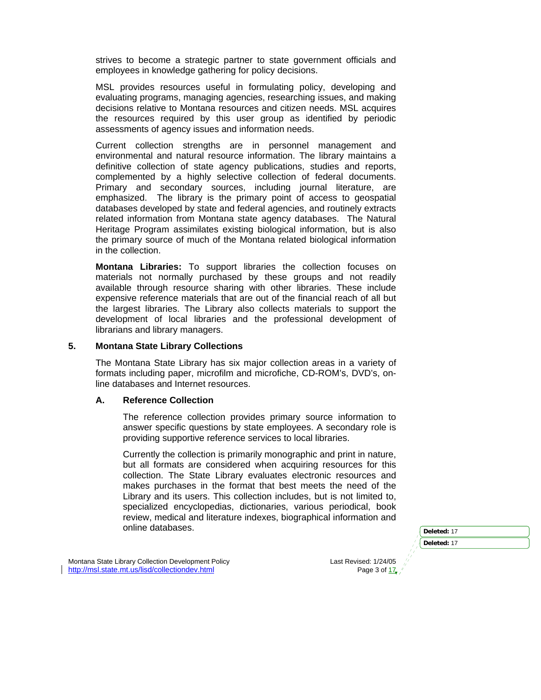strives to become a strategic partner to state government officials and employees in knowledge gathering for policy decisions.

MSL provides resources useful in formulating policy, developing and evaluating programs, managing agencies, researching issues, and making decisions relative to Montana resources and citizen needs. MSL acquires the resources required by this user group as identified by periodic assessments of agency issues and information needs.

Current collection strengths are in personnel management and environmental and natural resource information. The library maintains a definitive collection of state agency publications, studies and reports, complemented by a highly selective collection of federal documents. Primary and secondary sources, including journal literature, are emphasized. The library is the primary point of access to geospatial databases developed by state and federal agencies, and routinely extracts related information from Montana state agency databases. The Natural Heritage Program assimilates existing biological information, but is also the primary source of much of the Montana related biological information in the collection.

**Montana Libraries:** To support libraries the collection focuses on materials not normally purchased by these groups and not readily available through resource sharing with other libraries. These include expensive reference materials that are out of the financial reach of all but the largest libraries. The Library also collects materials to support the development of local libraries and the professional development of librarians and library managers.

#### **5. Montana State Library Collections**

The Montana State Library has six major collection areas in a variety of formats including paper, microfilm and microfiche, CD-ROM's, DVD's, online databases and Internet resources.

# **A. Reference Collection**

The reference collection provides primary source information to answer specific questions by state employees. A secondary role is providing supportive reference services to local libraries.

Currently the collection is primarily monographic and print in nature, but all formats are considered when acquiring resources for this collection. The State Library evaluates electronic resources and makes purchases in the format that best meets the need of the Library and its users. This collection includes, but is not limited to, specialized encyclopedias, dictionaries, various periodical, book review, medical and literature indexes, biographical information and online databases.

|   | Deleted: 17 |
|---|-------------|
|   | Deleted: 17 |
|   |             |
| ነ |             |

Montana State Library Collection Development Policy **Last Revised: 1/24/05** Last Revised: 1/24/0 http://msl.state.mt.us/lisd/collectiondev.html Page 3 of 17.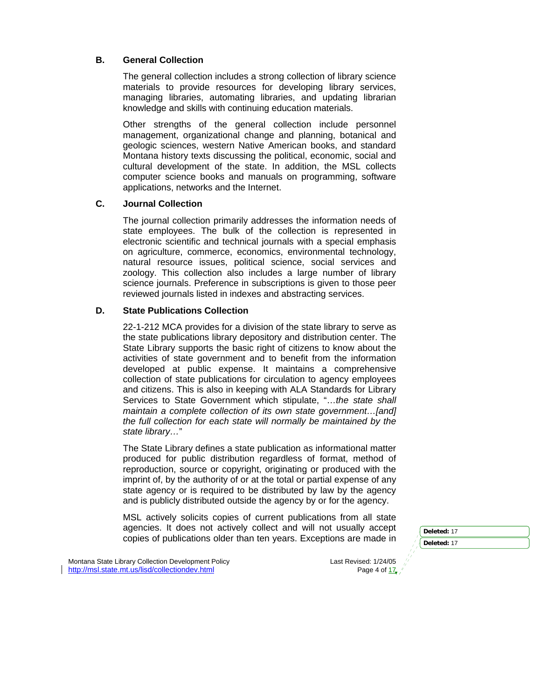# **B. General Collection**

The general collection includes a strong collection of library science materials to provide resources for developing library services, managing libraries, automating libraries, and updating librarian knowledge and skills with continuing education materials.

Other strengths of the general collection include personnel management, organizational change and planning, botanical and geologic sciences, western Native American books, and standard Montana history texts discussing the political, economic, social and cultural development of the state. In addition, the MSL collects computer science books and manuals on programming, software applications, networks and the Internet.

# **C. Journal Collection**

The journal collection primarily addresses the information needs of state employees. The bulk of the collection is represented in electronic scientific and technical journals with a special emphasis on agriculture, commerce, economics, environmental technology, natural resource issues, political science, social services and zoology. This collection also includes a large number of library science journals. Preference in subscriptions is given to those peer reviewed journals listed in indexes and abstracting services.

# **D. State Publications Collection**

22-1-212 MCA provides for a division of the state library to serve as the state publications library depository and distribution center. The State Library supports the basic right of citizens to know about the activities of state government and to benefit from the information developed at public expense. It maintains a comprehensive collection of state publications for circulation to agency employees and citizens. This is also in keeping with ALA Standards for Library Services to State Government which stipulate, "…*the state shall maintain a complete collection of its own state government…[and] the full collection for each state will normally be maintained by the state library…*"

The State Library defines a state publication as informational matter produced for public distribution regardless of format, method of reproduction, source or copyright, originating or produced with the imprint of, by the authority of or at the total or partial expense of any state agency or is required to be distributed by law by the agency and is publicly distributed outside the agency by or for the agency.

MSL actively solicits copies of current publications from all state agencies. It does not actively collect and will not usually accept copies of publications older than ten years. Exceptions are made in

Montana State Library Collection Development Policy and the content of the Last Revised: 1/24/05<br>http://msl.state.mt.us/lisd/collectiondev.html and the content of the Page 4 of 17, http://msl.state.mt.us/lisd/collectiondev.html

**Deleted:** 17 **Deleted:** 17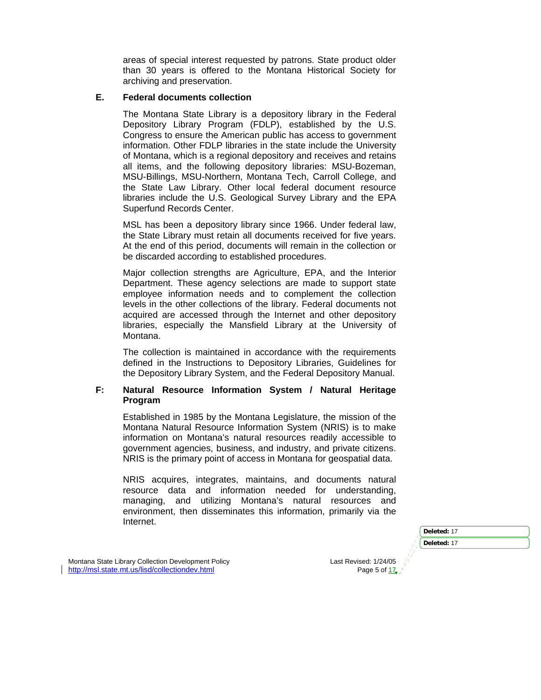areas of special interest requested by patrons. State product older than 30 years is offered to the Montana Historical Society for archiving and preservation.

## **E. Federal documents collection**

The Montana State Library is a depository library in the Federal Depository Library Program (FDLP), established by the U.S. Congress to ensure the American public has access to government information. Other FDLP libraries in the state include the University of Montana, which is a regional depository and receives and retains all items, and the following depository libraries: MSU-Bozeman, MSU-Billings, MSU-Northern, Montana Tech, Carroll College, and the State Law Library. Other local federal document resource libraries include the U.S. Geological Survey Library and the EPA Superfund Records Center.

MSL has been a depository library since 1966. Under federal law, the State Library must retain all documents received for five years. At the end of this period, documents will remain in the collection or be discarded according to established procedures.

Major collection strengths are Agriculture, EPA, and the Interior Department. These agency selections are made to support state employee information needs and to complement the collection levels in the other collections of the library. Federal documents not acquired are accessed through the Internet and other depository libraries, especially the Mansfield Library at the University of Montana.

The collection is maintained in accordance with the requirements defined in the Instructions to Depository Libraries, Guidelines for the Depository Library System, and the Federal Depository Manual.

### **F: Natural Resource Information System / Natural Heritage Program**

Established in 1985 by the Montana Legislature, the mission of the Montana Natural Resource Information System (NRIS) is to make information on Montana's natural resources readily accessible to government agencies, business, and industry, and private citizens. NRIS is the primary point of access in Montana for geospatial data.

NRIS acquires, integrates, maintains, and documents natural resource data and information needed for understanding, managing, and utilizing Montana's natural resources and environment, then disseminates this information, primarily via the Internet.

| Deleted: 17 |
|-------------|
| Deleted: 17 |
|             |
|             |

Montana State Library Collection Development Policy Collection Control Revised: 1/24/05 http://msl.state.mt.us/lisd/collectiondev.html Page 5 of 17.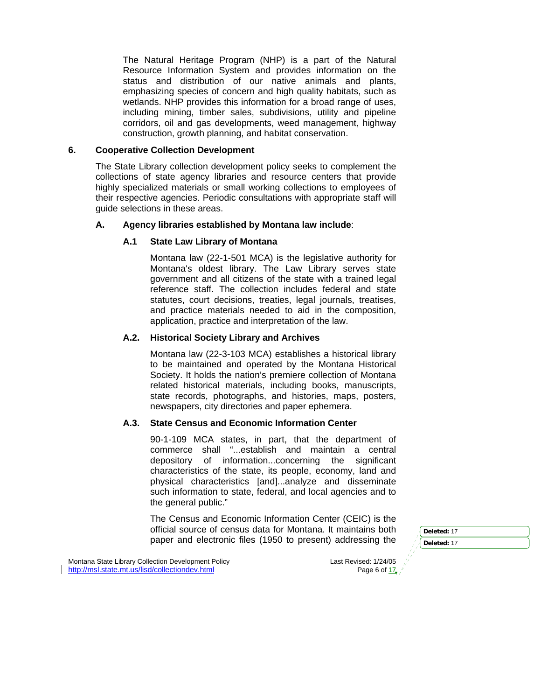The Natural Heritage Program (NHP) is a part of the Natural Resource Information System and provides information on the status and distribution of our native animals and plants, emphasizing species of concern and high quality habitats, such as wetlands. NHP provides this information for a broad range of uses, including mining, timber sales, subdivisions, utility and pipeline corridors, oil and gas developments, weed management, highway construction, growth planning, and habitat conservation.

### **6. Cooperative Collection Development**

The State Library collection development policy seeks to complement the collections of state agency libraries and resource centers that provide highly specialized materials or small working collections to employees of their respective agencies. Periodic consultations with appropriate staff will guide selections in these areas.

### **A. Agency libraries established by Montana law include**:

### **A.1 State Law Library of Montana**

Montana law (22-1-501 MCA) is the legislative authority for Montana's oldest library. The Law Library serves state government and all citizens of the state with a trained legal reference staff. The collection includes federal and state statutes, court decisions, treaties, legal journals, treatises, and practice materials needed to aid in the composition, application, practice and interpretation of the law.

### **A.2. Historical Society Library and Archives**

Montana law (22-3-103 MCA) establishes a historical library to be maintained and operated by the Montana Historical Society. It holds the nation's premiere collection of Montana related historical materials, including books, manuscripts, state records, photographs, and histories, maps, posters, newspapers, city directories and paper ephemera.

# **A.3. State Census and Economic Information Center**

90-1-109 MCA states, in part, that the department of commerce shall "...establish and maintain a central depository of information...concerning the significant characteristics of the state, its people, economy, land and physical characteristics [and]...analyze and disseminate such information to state, federal, and local agencies and to the general public."

The Census and Economic Information Center (CEIC) is the official source of census data for Montana. It maintains both paper and electronic files (1950 to present) addressing the

Montana State Library Collection Development Policy and the content of the Last Revised: 1/24/05<br>http://msl.state.mt.us/lisd/collectiondev.html and the content of the Page 6 of 17, http://msl.state.mt.us/lisd/collectiondev.html

**Deleted:** 17 **Deleted:** 17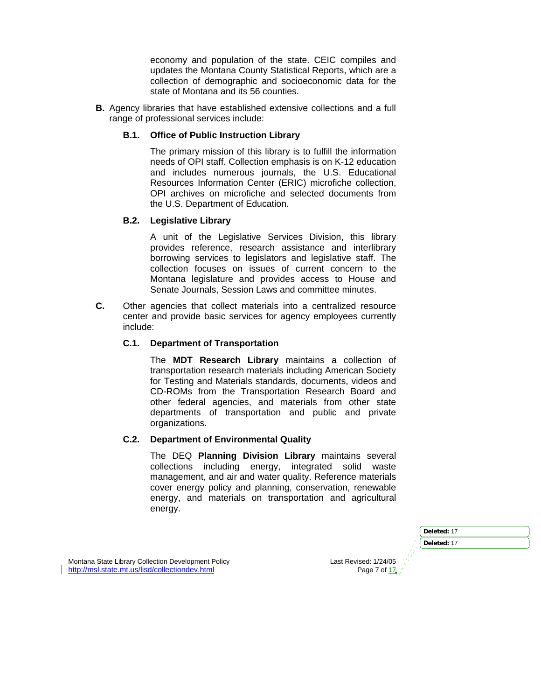economy and population of the state. CEIC compiles and updates the Montana County Statistical Reports, which are a collection of demographic and socioeconomic data for the state of Montana and its 56 counties.

**B.** Agency libraries that have established extensive collections and a full range of professional services include:

# **B.1. Office of Public Instruction Library**

The primary mission of this library is to fulfill the information needs of OPI staff. Collection emphasis is on K-12 education and includes numerous journals, the U.S. Educational Resources Information Center (ERIC) microfiche collection, OPI archives on microfiche and selected documents from the U.S. Department of Education.

# **B.2. Legislative Library**

A unit of the Legislative Services Division, this library provides reference, research assistance and interlibrary borrowing services to legislators and legislative staff. The collection focuses on issues of current concern to the Montana legislature and provides access to House and Senate Journals, Session Laws and committee minutes.

**C.** Other agencies that collect materials into a centralized resource center and provide basic services for agency employees currently include:

# **C.1. Department of Transportation**

The **MDT Research Library** maintains a collection of transportation research materials including American Society for Testing and Materials standards, documents, videos and CD-ROMs from the Transportation Research Board and other federal agencies, and materials from other state departments of transportation and public and private organizations.

### **C.2. Department of Environmental Quality**

The DEQ **Planning Division Library** maintains several collections including energy, integrated solid waste management, and air and water quality. Reference materials cover energy policy and planning, conservation, renewable energy, and materials on transportation and agricultural energy.

|                     | Deleted: 17 |
|---------------------|-------------|
|                     | Deleted: 17 |
| ed: 1/24/05         |             |
| » ge 7 of <u>17</u> |             |

Montana State Library Collection Development Policy **Last Revised: 1/24/05/06** Last Revise http://msl.state.mt.us/lisd/collectiondev.html Page 7 of 17 of 17 of 17 of 17 of 17 of 17 of 17 of 17 of 17 of 17 of 17 of 17 of 17 of 17 of 17 of 17 of 17 of 17 of 17 of 17 of 17 of 17 of 17 of 17 of 17 of 17 of 17 of 17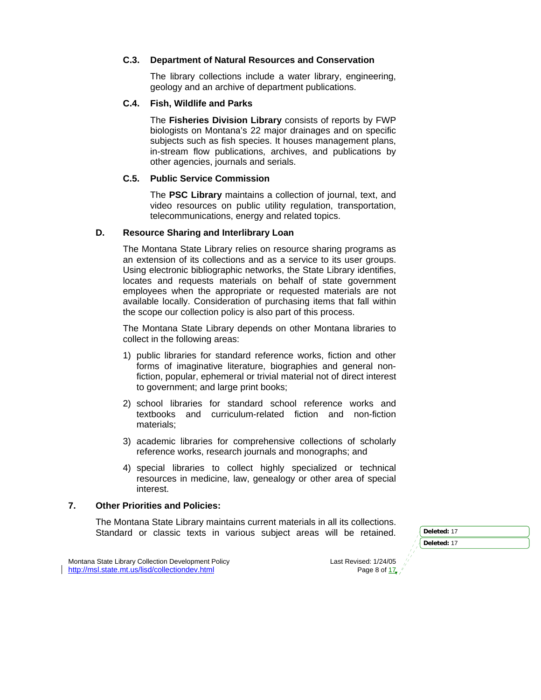### **C.3. Department of Natural Resources and Conservation**

The library collections include a water library, engineering, geology and an archive of department publications.

#### **C.4. Fish, Wildlife and Parks**

The **Fisheries Division Library** consists of reports by FWP biologists on Montana's 22 major drainages and on specific subjects such as fish species. It houses management plans, in-stream flow publications, archives, and publications by other agencies, journals and serials.

#### **C.5. Public Service Commission**

The **PSC Library** maintains a collection of journal, text, and video resources on public utility regulation, transportation, telecommunications, energy and related topics.

# **D. Resource Sharing and Interlibrary Loan**

The Montana State Library relies on resource sharing programs as an extension of its collections and as a service to its user groups. Using electronic bibliographic networks, the State Library identifies, locates and requests materials on behalf of state government employees when the appropriate or requested materials are not available locally. Consideration of purchasing items that fall within the scope our collection policy is also part of this process.

The Montana State Library depends on other Montana libraries to collect in the following areas:

- 1) public libraries for standard reference works, fiction and other forms of imaginative literature, biographies and general nonfiction, popular, ephemeral or trivial material not of direct interest to government; and large print books;
- 2) school libraries for standard school reference works and textbooks and curriculum-related fiction and non-fiction materials;
- 3) academic libraries for comprehensive collections of scholarly reference works, research journals and monographs; and
- 4) special libraries to collect highly specialized or technical resources in medicine, law, genealogy or other area of special interest.

# **7. Other Priorities and Policies:**

The Montana State Library maintains current materials in all its collections. Standard or classic texts in various subject areas will be retained. **Deleted: 17** 

Montana State Library Collection Development Policy **Last Revised: 1/24/05** Last Revised: 1/24/05 http://msl.state.mt.us/lisd/collectiondev.html Page 8 of 17,

**Deleted:** 17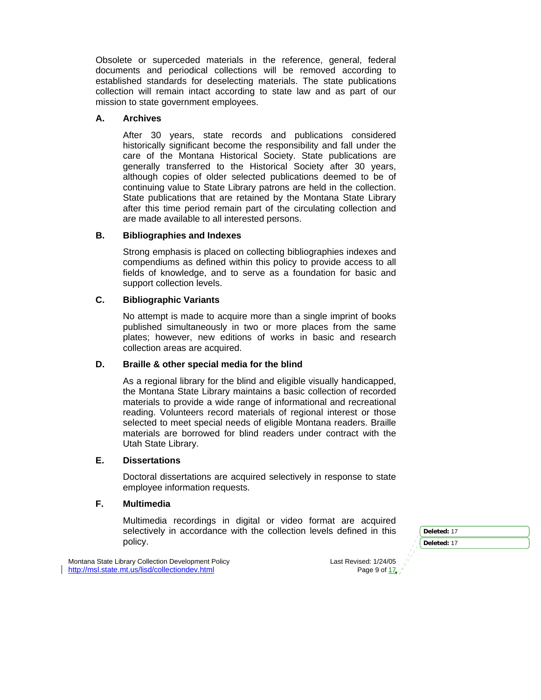Obsolete or superceded materials in the reference, general, federal documents and periodical collections will be removed according to established standards for deselecting materials. The state publications collection will remain intact according to state law and as part of our mission to state government employees.

# **A. Archives**

After 30 years, state records and publications considered historically significant become the responsibility and fall under the care of the Montana Historical Society. State publications are generally transferred to the Historical Society after 30 years, although copies of older selected publications deemed to be of continuing value to State Library patrons are held in the collection. State publications that are retained by the Montana State Library after this time period remain part of the circulating collection and are made available to all interested persons.

# **B. Bibliographies and Indexes**

Strong emphasis is placed on collecting bibliographies indexes and compendiums as defined within this policy to provide access to all fields of knowledge, and to serve as a foundation for basic and support collection levels.

# **C. Bibliographic Variants**

No attempt is made to acquire more than a single imprint of books published simultaneously in two or more places from the same plates; however, new editions of works in basic and research collection areas are acquired.

### **D. Braille & other special media for the blind**

As a regional library for the blind and eligible visually handicapped, the Montana State Library maintains a basic collection of recorded materials to provide a wide range of informational and recreational reading. Volunteers record materials of regional interest or those selected to meet special needs of eligible Montana readers. Braille materials are borrowed for blind readers under contract with the Utah State Library.

### **E. Dissertations**

Doctoral dissertations are acquired selectively in response to state employee information requests.

### **F. Multimedia**

Multimedia recordings in digital or video format are acquired selectively in accordance with the collection levels defined in this policy.

Montana State Library Collection Development Policy and the content of the state Revised: 1/24/05<br>/ http://msl.state.mt.us/lisd/collectiondev.html behavior and the content Policy Page 9 of 17, http://msl.state.mt.us/lisd/collectiondev.html

**Deleted:** 17 **Deleted:** 17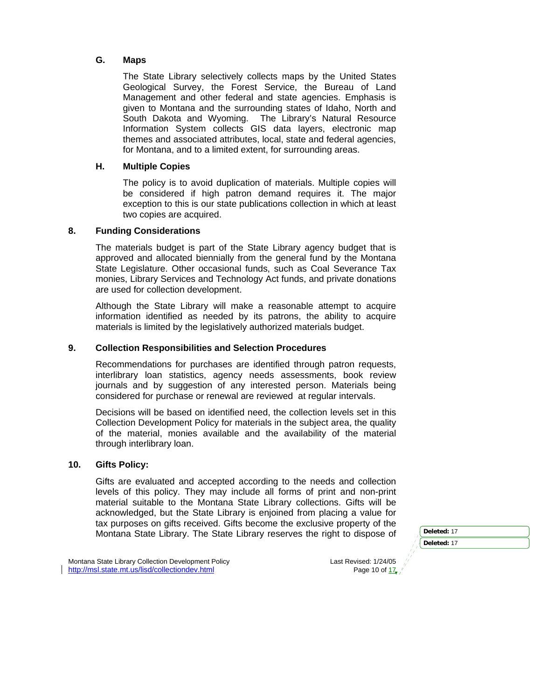# **G. Maps**

The State Library selectively collects maps by the United States Geological Survey, the Forest Service, the Bureau of Land Management and other federal and state agencies. Emphasis is given to Montana and the surrounding states of Idaho, North and South Dakota and Wyoming. The Library's Natural Resource Information System collects GIS data layers, electronic map themes and associated attributes, local, state and federal agencies, for Montana, and to a limited extent, for surrounding areas.

## **H. Multiple Copies**

The policy is to avoid duplication of materials. Multiple copies will be considered if high patron demand requires it. The major exception to this is our state publications collection in which at least two copies are acquired.

# **8. Funding Considerations**

The materials budget is part of the State Library agency budget that is approved and allocated biennially from the general fund by the Montana State Legislature. Other occasional funds, such as Coal Severance Tax monies, Library Services and Technology Act funds, and private donations are used for collection development.

Although the State Library will make a reasonable attempt to acquire information identified as needed by its patrons, the ability to acquire materials is limited by the legislatively authorized materials budget.

## **9. Collection Responsibilities and Selection Procedures**

Recommendations for purchases are identified through patron requests, interlibrary loan statistics, agency needs assessments, book review journals and by suggestion of any interested person. Materials being considered for purchase or renewal are reviewed at regular intervals.

Decisions will be based on identified need, the collection levels set in this Collection Development Policy for materials in the subject area, the quality of the material, monies available and the availability of the material through interlibrary loan.

### **10. Gifts Policy:**

Gifts are evaluated and accepted according to the needs and collection levels of this policy. They may include all forms of print and non-print material suitable to the Montana State Library collections. Gifts will be acknowledged, but the State Library is enjoined from placing a value for tax purposes on gifts received. Gifts become the exclusive property of the Montana State Library. The State Library reserves the right to dispose of **Deleted: 17** 

Montana State Library Collection Development Policy and the content of the Last Revised: 1/24/05<br>http://msl.state.mt.us/lisd/collectiondev.html and the content of the Page 10 of the Page 10 of the content of http://msl.state.mt.us/lisd/collectiondev.html

**Deleted:** 17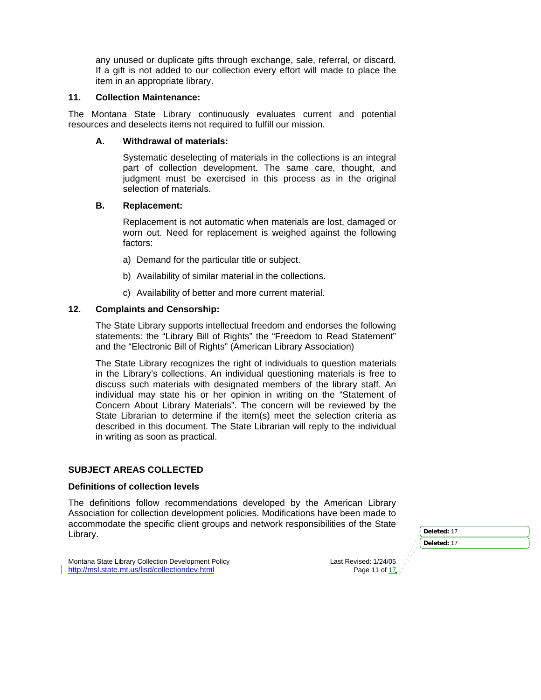any unused or duplicate gifts through exchange, sale, referral, or discard. If a gift is not added to our collection every effort will made to place the item in an appropriate library.

# **11. Collection Maintenance:**

The Montana State Library continuously evaluates current and potential resources and deselects items not required to fulfill our mission.

### **A. Withdrawal of materials:**

Systematic deselecting of materials in the collections is an integral part of collection development. The same care, thought, and judgment must be exercised in this process as in the original selection of materials.

### **B. Replacement:**

Replacement is not automatic when materials are lost, damaged or worn out. Need for replacement is weighed against the following factors:

- a) Demand for the particular title or subject.
- b) Availability of similar material in the collections.
- c) Availability of better and more current material.

# **12. Complaints and Censorship:**

The State Library supports intellectual freedom and endorses the following statements: the "Library Bill of Rights" the "Freedom to Read Statement" and the "Electronic Bill of Rights" (American Library Association)

The State Library recognizes the right of individuals to question materials in the Library's collections. An individual questioning materials is free to discuss such materials with designated members of the library staff. An individual may state his or her opinion in writing on the "Statement of Concern About Library Materials". The concern will be reviewed by the State Librarian to determine if the item(s) meet the selection criteria as described in this document. The State Librarian will reply to the individual in writing as soon as practical.

### **SUBJECT AREAS COLLECTED**

# **Definitions of collection levels**

The definitions follow recommendations developed by the American Library Association for collection development policies. Modifications have been made to accommodate the specific client groups and network responsibilities of the State Library. **Deleted:** <sup>17</sup>

| Deleted: 17 |
|-------------|
| Deleted: 17 |
|             |

Montana State Library Collection Development Policy Collection Control Revised: 1/24/05 http://msl.state.mt.us/lisd/collectiondev.html Page 11 of 17,  $\mu$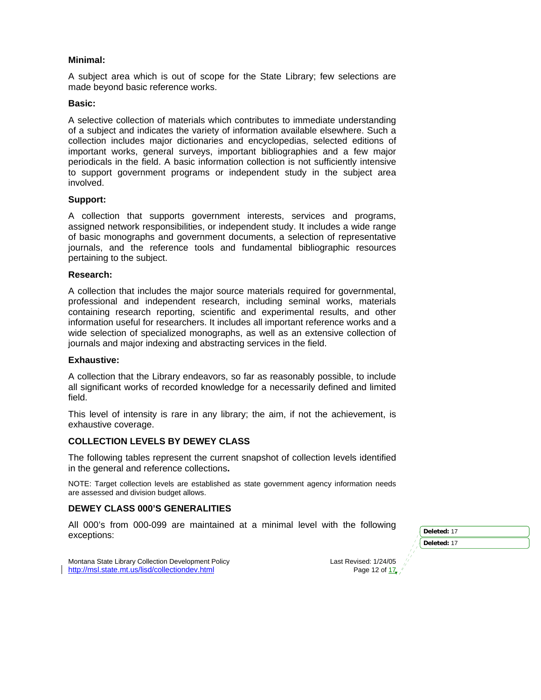## **Minimal:**

A subject area which is out of scope for the State Library; few selections are made beyond basic reference works.

### **Basic:**

A selective collection of materials which contributes to immediate understanding of a subject and indicates the variety of information available elsewhere. Such a collection includes major dictionaries and encyclopedias, selected editions of important works, general surveys, important bibliographies and a few major periodicals in the field. A basic information collection is not sufficiently intensive to support government programs or independent study in the subject area involved.

# **Support:**

A collection that supports government interests, services and programs, assigned network responsibilities, or independent study. It includes a wide range of basic monographs and government documents, a selection of representative journals, and the reference tools and fundamental bibliographic resources pertaining to the subject.

# **Research:**

A collection that includes the major source materials required for governmental, professional and independent research, including seminal works, materials containing research reporting, scientific and experimental results, and other information useful for researchers. It includes all important reference works and a wide selection of specialized monographs, as well as an extensive collection of journals and major indexing and abstracting services in the field.

### **Exhaustive:**

A collection that the Library endeavors, so far as reasonably possible, to include all significant works of recorded knowledge for a necessarily defined and limited field.

This level of intensity is rare in any library; the aim, if not the achievement, is exhaustive coverage.

# **COLLECTION LEVELS BY DEWEY CLASS**

The following tables represent the current snapshot of collection levels identified in the general and reference collections**.** 

NOTE: Target collection levels are established as state government agency information needs are assessed and division budget allows.

# **DEWEY CLASS 000'S GENERALITIES**

All 000's from 000-099 are maintained at a minimal level with the following exceptions: **Deleted:** 17

| Deleted: 17 |
|-------------|
| Deleted: 17 |
|             |

Montana State Library Collection Development Policy Last Revised: 1/24/05 http://msl.state.mt.us/lisd/collectiondev.html Page 12 of  $\frac{17}{2}$ http://msl.state.mt.us/lisd/collectiondev.html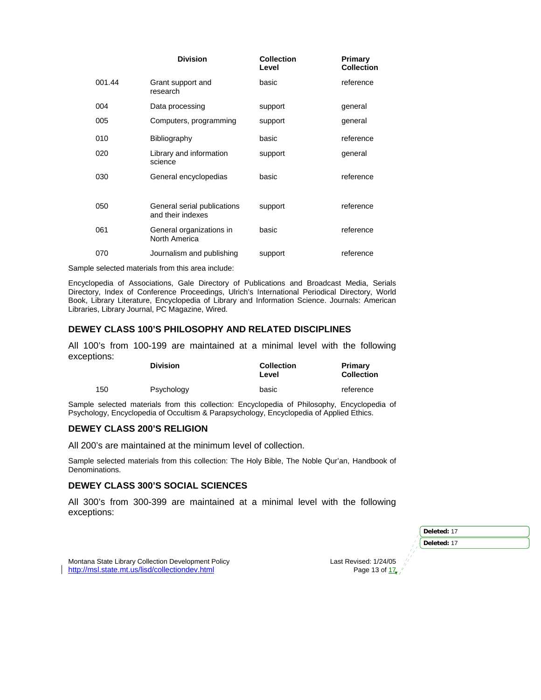|        | <b>Division</b>                                  | <b>Collection</b><br>Level | Primary<br><b>Collection</b> |
|--------|--------------------------------------------------|----------------------------|------------------------------|
| 001.44 | Grant support and<br>research                    | basic                      | reference                    |
| 004    | Data processing                                  | support                    | general                      |
| 005    | Computers, programming                           | support                    | general                      |
| 010    | Bibliography                                     | basic                      | reference                    |
| 020    | Library and information<br>science               | support                    | general                      |
| 030    | General encyclopedias                            | basic                      | reference                    |
|        |                                                  |                            |                              |
| 050    | General serial publications<br>and their indexes | support                    | reference                    |
| 061    | General organizations in<br>North America        | basic                      | reference                    |
| 070    | Journalism and publishing                        | support                    | reference                    |

Sample selected materials from this area include:

Encyclopedia of Associations, Gale Directory of Publications and Broadcast Media, Serials Directory, Index of Conference Proceedings, Ulrich's International Periodical Directory, World Book, Library Literature, Encyclopedia of Library and Information Science. Journals: American Libraries, Library Journal, PC Magazine, Wired.

#### **DEWEY CLASS 100'S PHILOSOPHY AND RELATED DISCIPLINES**

All 100's from 100-199 are maintained at a minimal level with the following exceptions:

|     | <b>Division</b> | <b>Collection</b><br>Level | Primary<br><b>Collection</b> |
|-----|-----------------|----------------------------|------------------------------|
| 150 | Psychology      | basic                      | reference                    |

Sample selected materials from this collection: Encyclopedia of Philosophy, Encyclopedia of Psychology, Encyclopedia of Occultism & Parapsychology, Encyclopedia of Applied Ethics.

#### **DEWEY CLASS 200'S RELIGION**

All 200's are maintained at the minimum level of collection.

Sample selected materials from this collection: The Holy Bible, The Noble Qur'an, Handbook of Denominations.

#### **DEWEY CLASS 300'S SOCIAL SCIENCES**

All 300's from 300-399 are maintained at a minimal level with the following exceptions:

| Deleted: 17           |
|-----------------------|
| Deleted: 17           |
|                       |
| Last Revised: 1/24/05 |
| Page 13 of 17, /      |
|                       |

Montana State Library Collection Development Policy http://msl.state.mt.us/lisd/collectiondev.html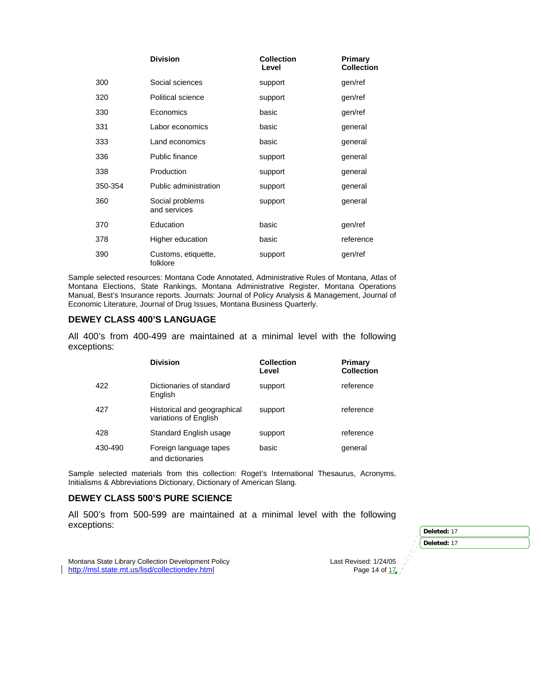|         | <b>Division</b>                 | <b>Collection</b><br>Level | Primary<br><b>Collection</b> |
|---------|---------------------------------|----------------------------|------------------------------|
| 300     | Social sciences                 | support                    | gen/ref                      |
| 320     | Political science               | support                    | gen/ref                      |
| 330     | Economics                       | basic                      | gen/ref                      |
| 331     | Labor economics                 | basic                      | general                      |
| 333     | Land economics                  | basic                      | general                      |
| 336     | Public finance                  | support                    | general                      |
| 338     | Production                      | support                    | general                      |
| 350-354 | Public administration           | support                    | general                      |
| 360     | Social problems<br>and services | support                    | general                      |
| 370     | Education                       | basic                      | gen/ref                      |
| 378     | Higher education                | basic                      | reference                    |
| 390     | Customs, etiquette,<br>folklore | support                    | gen/ref                      |

Sample selected resources: Montana Code Annotated, Administrative Rules of Montana, Atlas of Montana Elections, State Rankings, Montana Administrative Register, Montana Operations Manual, Best's Insurance reports. Journals: Journal of Policy Analysis & Management, Journal of Economic Literature, Journal of Drug Issues, Montana Business Quarterly.

### **DEWEY CLASS 400'S LANGUAGE**

All 400's from 400-499 are maintained at a minimal level with the following exceptions:

|         | <b>Division</b>                                      | <b>Collection</b><br>Level | Primary<br><b>Collection</b> |
|---------|------------------------------------------------------|----------------------------|------------------------------|
| 422     | Dictionaries of standard<br>English                  | support                    | reference                    |
| 427     | Historical and geographical<br>variations of English | support                    | reference                    |
| 428     | Standard English usage                               | support                    | reference                    |
| 430-490 | Foreign language tapes<br>and dictionaries           | basic                      | general                      |

Sample selected materials from this collection: Roget's International Thesaurus, Acronyms, Initialisms & Abbreviations Dictionary, Dictionary of American Slang.

# **DEWEY CLASS 500'S PURE SCIENCE**

All 500's from 500-599 are maintained at a minimal level with the following exceptions: **Deleted: 17** 

|    | Deleted: 17 |  |
|----|-------------|--|
|    | Deleted: 17 |  |
| 05 |             |  |
|    |             |  |

Montana State Library Collection Development Policy<br>
http://msl.state.mt.us/lisd/collectiondev.html Page 14 of 17, http://msl.state.mt.us/lisd/collectiondev.html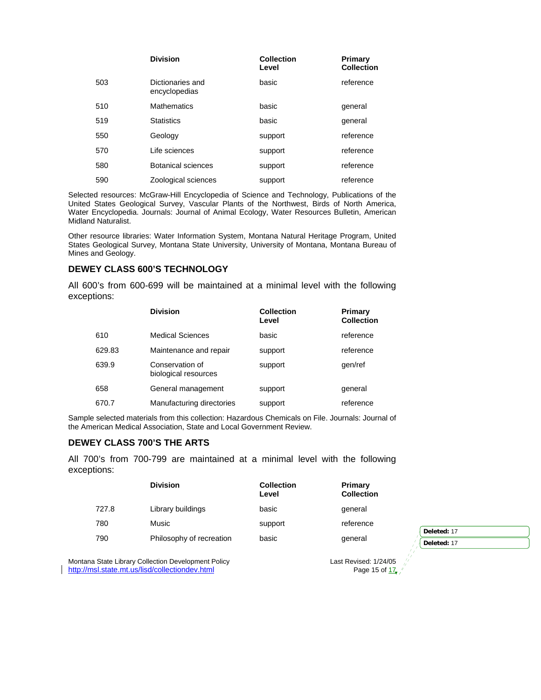|     | <b>Division</b>                   | <b>Collection</b><br>Level | Primary<br><b>Collection</b> |
|-----|-----------------------------------|----------------------------|------------------------------|
| 503 | Dictionaries and<br>encyclopedias | basic                      | reference                    |
| 510 | <b>Mathematics</b>                | basic                      | general                      |
| 519 | <b>Statistics</b>                 | basic                      | general                      |
| 550 | Geology                           | support                    | reference                    |
| 570 | Life sciences                     | support                    | reference                    |
| 580 | Botanical sciences                | support                    | reference                    |
| 590 | Zoological sciences               | support                    | reference                    |

Selected resources: McGraw-Hill Encyclopedia of Science and Technology, Publications of the United States Geological Survey, Vascular Plants of the Northwest, Birds of North America, Water Encyclopedia. Journals: Journal of Animal Ecology, Water Resources Bulletin, American Midland Naturalist.

Other resource libraries: Water Information System, Montana Natural Heritage Program, United States Geological Survey, Montana State University, University of Montana, Montana Bureau of Mines and Geology.

## **DEWEY CLASS 600'S TECHNOLOGY**

All 600's from 600-699 will be maintained at a minimal level with the following exceptions:

|        | <b>Division</b>                         | <b>Collection</b><br>Level | Primary<br><b>Collection</b> |
|--------|-----------------------------------------|----------------------------|------------------------------|
| 610    | <b>Medical Sciences</b>                 | basic                      | reference                    |
| 629.83 | Maintenance and repair                  | support                    | reference                    |
| 639.9  | Conservation of<br>biological resources | support                    | gen/ref                      |
| 658    | General management                      | support                    | general                      |
| 670.7  | Manufacturing directories               | support                    | reference                    |

Sample selected materials from this collection: Hazardous Chemicals on File. Journals: Journal of the American Medical Association, State and Local Government Review.

# **DEWEY CLASS 700'S THE ARTS**

All 700's from 700-799 are maintained at a minimal level with the following exceptions:

|       | <b>Division</b>          | <b>Collection</b><br>Level | <b>Primary</b><br><b>Collection</b> |                            |
|-------|--------------------------|----------------------------|-------------------------------------|----------------------------|
| 727.8 | Library buildings        | basic                      | general                             |                            |
| 780   | Music                    | support                    | reference                           |                            |
| 790   | Philosophy of recreation | basic                      | general                             | Deleted: 17<br>Deleted: 17 |

Montana State Library Collection Development Policy<br>
http://msl.state.mt.us/lisd/collectiondev.html exercised: 1/24/05 Page 15 of 17, y http://msl.state.mt.us/lisd/collectiondev.html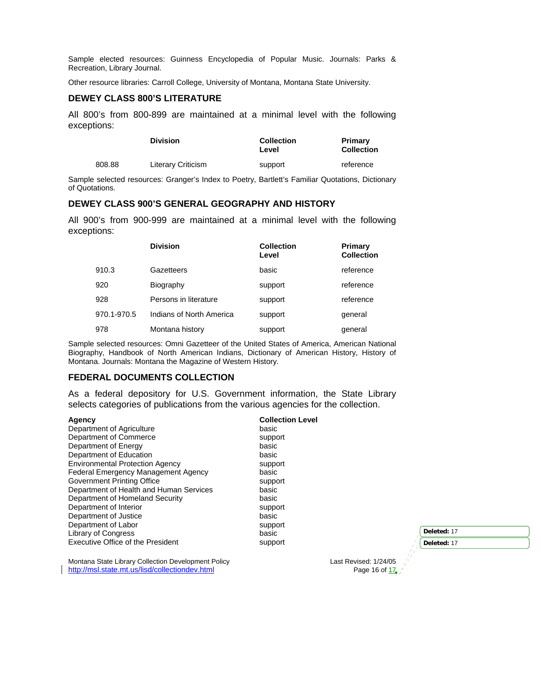Sample elected resources: Guinness Encyclopedia of Popular Music. Journals: Parks & Recreation, Library Journal.

Other resource libraries: Carroll College, University of Montana, Montana State University.

### **DEWEY CLASS 800'S LITERATURE**

All 800's from 800-899 are maintained at a minimal level with the following exceptions:

|        | <b>Division</b>    | <b>Collection</b><br>Level | Primary<br><b>Collection</b> |
|--------|--------------------|----------------------------|------------------------------|
| 808.88 | Literary Criticism | support                    | reference                    |

Sample selected resources: Granger's Index to Poetry, Bartlett's Familiar Quotations, Dictionary of Quotations.

### **DEWEY CLASS 900'S GENERAL GEOGRAPHY AND HISTORY**

All 900's from 900-999 are maintained at a minimal level with the following exceptions:

|             | <b>Division</b>          | <b>Collection</b><br>Level | Primary<br><b>Collection</b> |
|-------------|--------------------------|----------------------------|------------------------------|
| 910.3       | Gazetteers               | basic                      | reference                    |
| 920         | Biography                | support                    | reference                    |
| 928         | Persons in literature    | support                    | reference                    |
| 970.1-970.5 | Indians of North America | support                    | general                      |
| 978         | Montana history          | support                    | general                      |

Sample selected resources: Omni Gazetteer of the United States of America, American National Biography, Handbook of North American Indians, Dictionary of American History, History of Montana. Journals: Montana the Magazine of Western History.

#### **FEDERAL DOCUMENTS COLLECTION**

As a federal depository for U.S. Government information, the State Library selects categories of publications from the various agencies for the collection.

| Agency                                              | <b>Collection Level</b> |                       |             |
|-----------------------------------------------------|-------------------------|-----------------------|-------------|
| Department of Agriculture                           | basic                   |                       |             |
| Department of Commerce                              | support                 |                       |             |
| Department of Energy                                | basic                   |                       |             |
| Department of Education                             | basic                   |                       |             |
| <b>Environmental Protection Agency</b>              | support                 |                       |             |
| Federal Emergency Management Agency                 | basic                   |                       |             |
| Government Printing Office                          | support                 |                       |             |
| Department of Health and Human Services             | basic                   |                       |             |
| Department of Homeland Security                     | basic                   |                       |             |
| Department of Interior                              | support                 |                       |             |
| Department of Justice                               | basic                   |                       |             |
| Department of Labor                                 | support                 |                       |             |
| <b>Library of Congress</b>                          | basic                   |                       | Deleted: 17 |
| <b>Executive Office of the President</b>            | support                 |                       | Deleted: 17 |
|                                                     |                         |                       |             |
| Montana State Library Collection Development Policy |                         | Last Revised: 1/24/05 |             |
| http://msl.state.mt.us/lisd/collectiondev.html      |                         | Page 16 of 17.        |             |